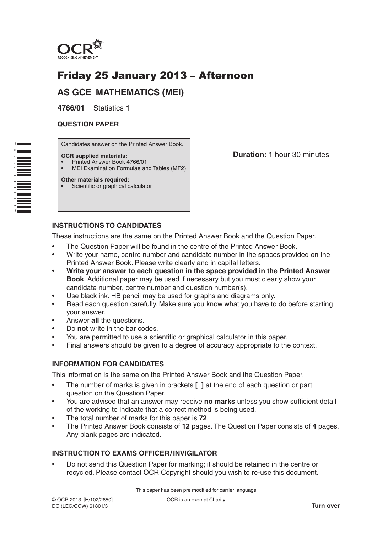

# Friday 25 January 2013 – Afternoon

**AS GCE MATHEMATICS (MEI)**

**4766/01** Statistics 1

# **QUESTION PAPER**

\*4 $\overline{\phantom{a}}$ W N, 6  $^\alpha$ 011ω \* Candidates answer on the Printed Answer Book.

#### **OCR supplied materials:**

- Printed Answer Book 4766/01
- MEI Examination Formulae and Tables (MF2)

### **Other materials required:**

Scientific or graphical calculator

**Duration:** 1 hour 30 minutes

# **INSTRUCTIONS TO CANDIDATES**

These instructions are the same on the Printed Answer Book and the Question Paper.

- The Question Paper will be found in the centre of the Printed Answer Book.
- Write your name, centre number and candidate number in the spaces provided on the Printed Answer Book. Please write clearly and in capital letters.
- **Write your answer to each question in the space provided in the Printed Answer Book**. Additional paper may be used if necessary but you must clearly show your candidate number, centre number and question number(s).
- Use black ink. HB pencil may be used for graphs and diagrams only.
- Read each question carefully. Make sure you know what you have to do before starting your answer.
- Answer **all** the questions.
- Do **not** write in the bar codes.
- You are permitted to use a scientific or graphical calculator in this paper.
- Final answers should be given to a degree of accuracy appropriate to the context.

## **INFORMATION FOR CANDIDATES**

This information is the same on the Printed Answer Book and the Question Paper.

- The number of marks is given in brackets **[ ]** at the end of each question or part question on the Question Paper.
- You are advised that an answer may receive **no marks** unless you show sufficient detail of the working to indicate that a correct method is being used.
- The total number of marks for this paper is **72**.
- The Printed Answer Book consists of **12** pages. The Question Paper consists of **4** pages. Any blank pages are indicated.

# **INSTRUCTION TO EXAMS OFFICER/INVIGILATOR**

• Do not send this Question Paper for marking; it should be retained in the centre or recycled. Please contact OCR Copyright should you wish to re-use this document.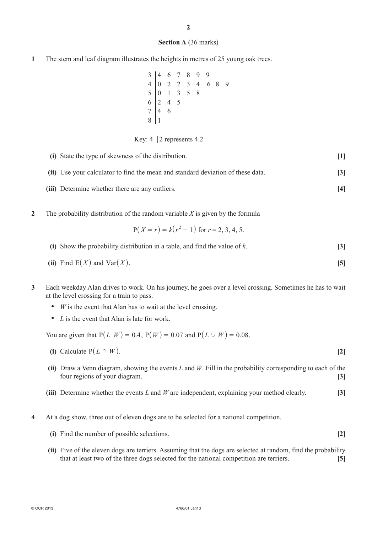#### **Section A** (36 marks)

**1** The stem and leaf diagram illustrates the heights in metres of 25 young oak trees.

|  |  | $\begin{array}{c cccc}\n3 & 4 & 6 & 7 & 8 & 9 & 9 \\ 4 & 0 & 2 & 2 & 3 & 4 & 6 \\ 5 & 0 & 1 & 3 & 5 & 8 \\ 6 & 2 & 4 & 5 & & & \\ 7 & 4 & 6 & & & & \\ 8 & 1 & & & & & & \\ \end{array}$ | 6 8 | 9 |
|--|--|------------------------------------------------------------------------------------------------------------------------------------------------------------------------------------------|-----|---|
|  |  |                                                                                                                                                                                          |     |   |
|  |  |                                                                                                                                                                                          |     |   |
|  |  |                                                                                                                                                                                          |     |   |
|  |  |                                                                                                                                                                                          |     |   |

Key:  $4 \mid 2$  represents 4.2

| (i) State the type of skewness of the distribution.                             | $[1]$             |
|---------------------------------------------------------------------------------|-------------------|
| (ii) Use your calculator to find the mean and standard deviation of these data. | $\lceil 3 \rceil$ |
| (iii) Determine whether there are any outliers.                                 | [4]               |

**2** The probability distribution of the random variable *X* is given by the formula

$$
P(X = r) = k(r2 - 1)
$$
 for  $r = 2, 3, 4, 5$ .

- **(i)** Show the probability distribution in a table, and find the value of *k*. **[3]**
- (ii) Find  $E(X)$  and  $Var(X)$ . [5]
- **3** Each weekday Alan drives to work. On his journey, he goes over a level crossing. Sometimes he has to wait at the level crossing for a train to pass.
	- *W* is the event that Alan has to wait at the level crossing.
	- *L* is the event that Alan is late for work.

You are given that  $P(L|W) = 0.4$ ,  $P(W) = 0.07$  and  $P(L \cup W) = 0.08$ .

- **(i)** Calculate  $P(L \cap W)$ . **[2]**
- **(ii)** Draw a Venn diagram, showing the events *L* and *W*. Fill in the probability corresponding to each of the four regions of your diagram. **[3]**
- **(iii)** Determine whether the events *L* and *W* are independent, explaining your method clearly. **[3]**
- **4** At a dog show, three out of eleven dogs are to be selected for a national competition.
	- **(i)** Find the number of possible selections. **[2]**
	- **(ii)** Five of the eleven dogs are terriers. Assuming that the dogs are selected at random, find the probability that at least two of the three dogs selected for the national competition are terriers. **[5]**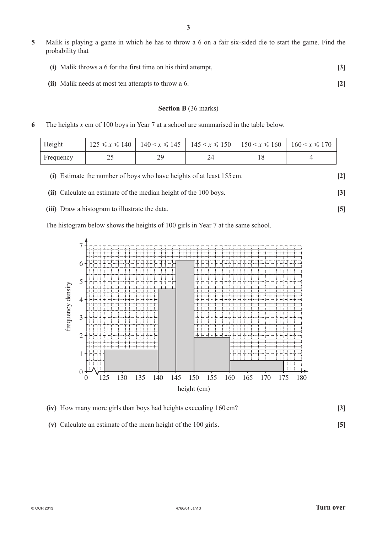**5** Malik is playing a game in which he has to throw a 6 on a fair six-sided die to start the game. Find the probability that

| (i) Malik throws a 6 for the first time on his third attempt, |  |
|---------------------------------------------------------------|--|
|                                                               |  |

**(ii)** Malik needs at most ten attempts to throw a 6. **[2]**

#### **Section B** (36 marks)

**6** The heights *x* cm of 100 boys in Year 7 at a school are summarised in the table below.

| Height    |  | $125 \le x \le 140$   $140 \le x \le 145$   $145 \le x \le 150$   $150 \le x \le 160$   $160 \le x \le 170$ |  |
|-----------|--|-------------------------------------------------------------------------------------------------------------|--|
| Frequency |  |                                                                                                             |  |





**(iii)** Draw a histogram to illustrate the data. **[5]**

The histogram below shows the heights of 100 girls in Year 7 at the same school.



| (iv) How many more girls than boys had heights exceeding 160 cm? |  |
|------------------------------------------------------------------|--|
|                                                                  |  |

**(v)** Calculate an estimate of the mean height of the 100 girls. **[5]**